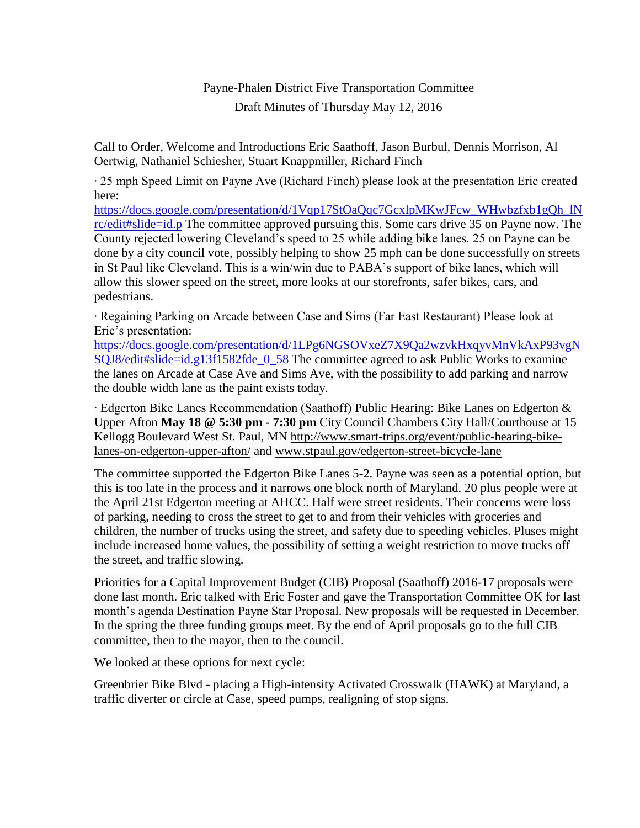## Payne-Phalen District Five Transportation Committee Draft Minutes of Thursday May 12, 2016

Call to Order, Welcome and Introductions Eric Saathoff, Jason Burbul, Dennis Morrison, Al Oertwig, Nathaniel Schiesher, Stuart Knappmiller, Richard Finch

∙ 25 mph Speed Limit on Payne Ave (Richard Finch) please look at the presentation Eric created here:

[https://docs.google.com/presentation/d/1Vqp17StOaQqc7GcxlpMKwJFcw\\_WHwbzfxb1gQh\\_lN](https://docs.google.com/presentation/d/1Vqp17StOaQqc7GcxlpMKwJFcw_WHwbzfxb1gQh_lNrc/edit#slide=id.p) [rc/edit#slide=id.p](https://docs.google.com/presentation/d/1Vqp17StOaQqc7GcxlpMKwJFcw_WHwbzfxb1gQh_lNrc/edit#slide=id.p) The committee approved pursuing this. Some cars drive 35 on Payne now. The County rejected lowering Cleveland's speed to 25 while adding bike lanes. 25 on Payne can be done by a city council vote, possibly helping to show 25 mph can be done successfully on streets in St Paul like Cleveland. This is a win/win due to PABA's support of bike lanes, which will allow this slower speed on the street, more looks at our storefronts, safer bikes, cars, and pedestrians.

∙ Regaining Parking on Arcade between Case and Sims (Far East Restaurant) Please look at Eric's presentation:

[https://docs.google.com/presentation/d/1LPg6NGSOVxeZ7X9Qa2wzvkHxqyvMnVkAxP93vgN](https://docs.google.com/presentation/d/1LPg6NGSOVxeZ7X9Qa2wzvkHxqyvMnVkAxP93vgNSQJ8/edit#slide=id.g13f1582fde_0_58) [SQJ8/edit#slide=id.g13f1582fde\\_0\\_58](https://docs.google.com/presentation/d/1LPg6NGSOVxeZ7X9Qa2wzvkHxqyvMnVkAxP93vgNSQJ8/edit#slide=id.g13f1582fde_0_58) The committee agreed to ask Public Works to examine the lanes on Arcade at Case Ave and Sims Ave, with the possibility to add parking and narrow the double width lane as the paint exists today.

∙ Edgerton Bike Lanes Recommendation (Saathoff) Public Hearing: Bike Lanes on Edgerton & Upper Afton **May 18 @ 5:30 pm - 7:30 pm** City Council Chambers City Hall/Courthouse at 15 Kellogg Boulevard West St. Paul, MN [http://www.smart-trips.org/event/public-hearing-bike](http://www.smart-trips.org/event/public-hearing-bike-lanes-on-edgerton-upper-afton/)[lanes-on-edgerton-upper-afton/](http://www.smart-trips.org/event/public-hearing-bike-lanes-on-edgerton-upper-afton/) and [www.stpaul.gov/edgerton-street-bicycle-lane](http://www.stpaul.gov/edgerton-street-bicycle-lane)

The committee supported the Edgerton Bike Lanes 5-2. Payne was seen as a potential option, but this is too late in the process and it narrows one block north of Maryland. 20 plus people were at the April 21st Edgerton meeting at AHCC. Half were street residents. Their concerns were loss of parking, needing to cross the street to get to and from their vehicles with groceries and children, the number of trucks using the street, and safety due to speeding vehicles. Pluses might include increased home values, the possibility of setting a weight restriction to move trucks off the street, and traffic slowing.

Priorities for a Capital Improvement Budget (CIB) Proposal (Saathoff) 2016-17 proposals were done last month. Eric talked with Eric Foster and gave the Transportation Committee OK for last month's agenda Destination Payne Star Proposal. New proposals will be requested in December. In the spring the three funding groups meet. By the end of April proposals go to the full CIB committee, then to the mayor, then to the council.

We looked at these options for next cycle:

Greenbrier Bike Blvd - placing a High-intensity Activated Crosswalk (HAWK) at Maryland, a traffic diverter or circle at Case, speed pumps, realigning of stop signs.